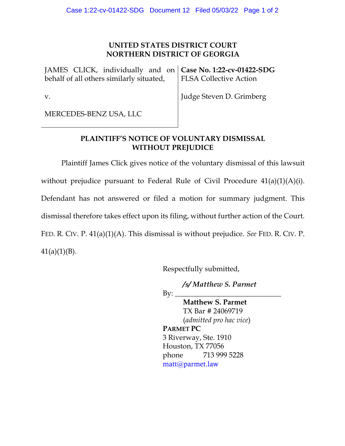## **UNITED STATES DISTRICT COURT NORTHERN DISTRICT OF GEORGIA**

JAMES CLICK, individually and on behalf of all others similarly situated, **Case No. 1:22-cv-01422-SDG** FLSA Collective Action

v. Judge Steven D. Grimberg

MERCEDES-BENZ USA, LLC

## **PLAINTIFF'S NOTICE OF VOLUNTARY DISMISSAL WITHOUT PREJUDICE**

Plaintiff James Click gives notice of the voluntary dismissal of this lawsuit without prejudice pursuant to Federal Rule of Civil Procedure  $41(a)(1)(A)(i)$ . Defendant has not answered or filed a motion for summary judgment. This dismissal therefore takes effect upon its filing, without further action of the Court. FED. R. CIV. P. 41(a)(1)(A). This dismissal is without prejudice. *See* FED. R. CIV. P.  $41(a)(1)(B)$ .

Respectfully submitted,

*/s/ Matthew S. Parmet*

 $\rm By:\_$ 

**Matthew S. Parmet** TX Bar # 24069719 (*admitted pro hac vice*) **PARMET PC** 3 Riverway, Ste. 1910 Houston, TX 77056 phone 713 999 5228 matt@parmet.law